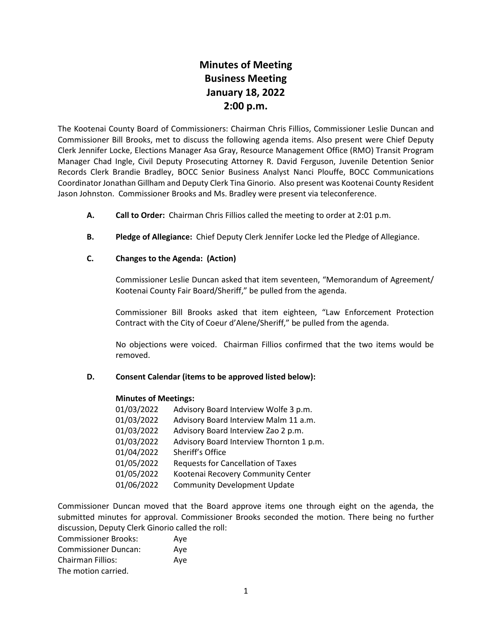# **Minutes of Meeting Business Meeting January 18, 2022 2:00 p.m.**

The Kootenai County Board of Commissioners: Chairman Chris Fillios, Commissioner Leslie Duncan and Commissioner Bill Brooks, met to discuss the following agenda items. Also present were Chief Deputy Clerk Jennifer Locke, Elections Manager Asa Gray, Resource Management Office (RMO) Transit Program Manager Chad Ingle, Civil Deputy Prosecuting Attorney R. David Ferguson, Juvenile Detention Senior Records Clerk Brandie Bradley, BOCC Senior Business Analyst Nanci Plouffe, BOCC Communications Coordinator Jonathan Gillham and Deputy Clerk Tina Ginorio. Also present was Kootenai County Resident Jason Johnston. Commissioner Brooks and Ms. Bradley were present via teleconference.

- **A. Call to Order:** Chairman Chris Fillios called the meeting to order at 2:01 p.m.
- **B. Pledge of Allegiance:** Chief Deputy Clerk Jennifer Locke led the Pledge of Allegiance.

# **C. Changes to the Agenda: (Action)**

Commissioner Leslie Duncan asked that item seventeen, "Memorandum of Agreement/ Kootenai County Fair Board/Sheriff," be pulled from the agenda.

Commissioner Bill Brooks asked that item eighteen, "Law Enforcement Protection Contract with the City of Coeur d'Alene/Sheriff," be pulled from the agenda.

No objections were voiced. Chairman Fillios confirmed that the two items would be removed.

## **D. Consent Calendar (items to be approved listed below):**

## **Minutes of Meetings:**

| 01/03/2022 | Advisory Board Interview Wolfe 3 p.m.     |
|------------|-------------------------------------------|
| 01/03/2022 | Advisory Board Interview Malm 11 a.m.     |
| 01/03/2022 | Advisory Board Interview Zao 2 p.m.       |
| 01/03/2022 | Advisory Board Interview Thornton 1 p.m.  |
| 01/04/2022 | Sheriff's Office                          |
| 01/05/2022 | <b>Requests for Cancellation of Taxes</b> |
| 01/05/2022 | Kootenai Recovery Community Center        |
| 01/06/2022 | <b>Community Development Update</b>       |
|            |                                           |

Commissioner Duncan moved that the Board approve items one through eight on the agenda, the submitted minutes for approval. Commissioner Brooks seconded the motion. There being no further discussion, Deputy Clerk Ginorio called the roll:

| <b>Commissioner Brooks:</b> | Aye |
|-----------------------------|-----|
| <b>Commissioner Duncan:</b> | Ave |
| <b>Chairman Fillios:</b>    | Ave |
| The motion carried.         |     |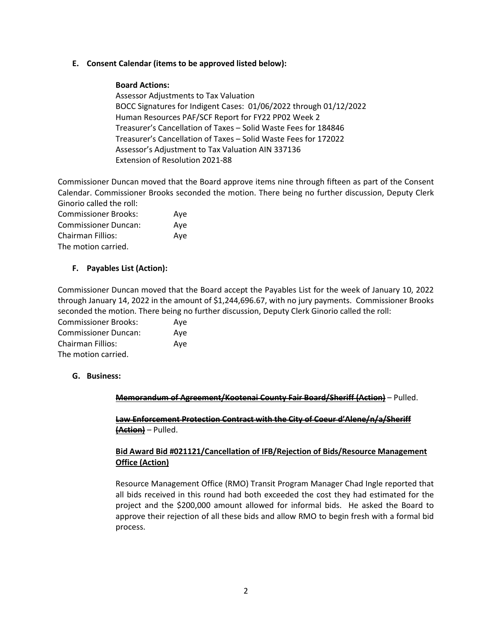## **E. Consent Calendar (items to be approved listed below):**

## **Board Actions:**

Assessor Adjustments to Tax Valuation BOCC Signatures for Indigent Cases: 01/06/2022 through 01/12/2022 Human Resources PAF/SCF Report for FY22 PP02 Week 2 Treasurer's Cancellation of Taxes – Solid Waste Fees for 184846 Treasurer's Cancellation of Taxes – Solid Waste Fees for 172022 Assessor's Adjustment to Tax Valuation AIN 337136 Extension of Resolution 2021-88

Commissioner Duncan moved that the Board approve items nine through fifteen as part of the Consent Calendar. Commissioner Brooks seconded the motion. There being no further discussion, Deputy Clerk Ginorio called the roll:

| <b>Commissioner Brooks:</b> | Aye |
|-----------------------------|-----|
| <b>Commissioner Duncan:</b> | Ave |
| <b>Chairman Fillios:</b>    | Ave |
| The motion carried.         |     |

## **F. Payables List (Action):**

Commissioner Duncan moved that the Board accept the Payables List for the week of January 10, 2022 through January 14, 2022 in the amount of \$1,244,696.67, with no jury payments. Commissioner Brooks seconded the motion. There being no further discussion, Deputy Clerk Ginorio called the roll:

| <b>Commissioner Brooks:</b> | Ave |
|-----------------------------|-----|
| <b>Commissioner Duncan:</b> | Ave |
| Chairman Fillios:           | Ave |
| The motion carried.         |     |

## **G. Business:**

**Memorandum of Agreement/Kootenai County Fair Board/Sheriff (Action)** – Pulled.

**Law Enforcement Protection Contract with the City of Coeur d'Alene/n/a/Sheriff (Action)** – Pulled.

# **Bid Award Bid #021121/Cancellation of IFB/Rejection of Bids/Resource Management Office (Action)**

Resource Management Office (RMO) Transit Program Manager Chad Ingle reported that all bids received in this round had both exceeded the cost they had estimated for the project and the \$200,000 amount allowed for informal bids. He asked the Board to approve their rejection of all these bids and allow RMO to begin fresh with a formal bid process.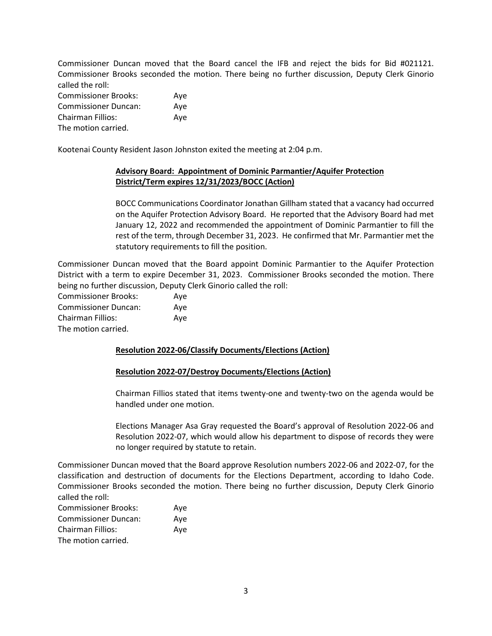Commissioner Duncan moved that the Board cancel the IFB and reject the bids for Bid #021121. Commissioner Brooks seconded the motion. There being no further discussion, Deputy Clerk Ginorio called the roll: Commissioner Brooks: Aye Commissioner Duncan: Aye

Chairman Fillios: Aye The motion carried.

Kootenai County Resident Jason Johnston exited the meeting at 2:04 p.m.

# **Advisory Board: Appointment of Dominic Parmantier/Aquifer Protection District/Term expires 12/31/2023/BOCC (Action)**

BOCC Communications Coordinator Jonathan Gillham stated that a vacancy had occurred on the Aquifer Protection Advisory Board. He reported that the Advisory Board had met January 12, 2022 and recommended the appointment of Dominic Parmantier to fill the rest of the term, through December 31, 2023. He confirmed that Mr. Parmantier met the statutory requirements to fill the position.

Commissioner Duncan moved that the Board appoint Dominic Parmantier to the Aquifer Protection District with a term to expire December 31, 2023. Commissioner Brooks seconded the motion. There being no further discussion, Deputy Clerk Ginorio called the roll:

Commissioner Brooks: Aye Commissioner Duncan: Aye Chairman Fillios: Aye The motion carried.

## **Resolution 2022-06/Classify Documents/Elections (Action)**

## **Resolution 2022-07/Destroy Documents/Elections (Action)**

Chairman Fillios stated that items twenty-one and twenty-two on the agenda would be handled under one motion.

Elections Manager Asa Gray requested the Board's approval of Resolution 2022-06 and Resolution 2022-07, which would allow his department to dispose of records they were no longer required by statute to retain.

Commissioner Duncan moved that the Board approve Resolution numbers 2022-06 and 2022-07, for the classification and destruction of documents for the Elections Department, according to Idaho Code. Commissioner Brooks seconded the motion. There being no further discussion, Deputy Clerk Ginorio called the roll:

| <b>Commissioner Brooks:</b> | Ave |
|-----------------------------|-----|
| <b>Commissioner Duncan:</b> | Aye |
| <b>Chairman Fillios:</b>    | Ave |
| The motion carried.         |     |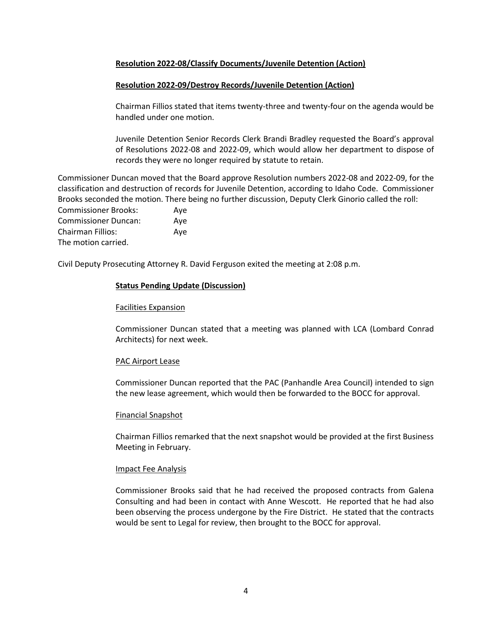## **Resolution 2022-08/Classify Documents/Juvenile Detention (Action)**

## **Resolution 2022-09/Destroy Records/Juvenile Detention (Action)**

Chairman Fillios stated that items twenty-three and twenty-four on the agenda would be handled under one motion.

Juvenile Detention Senior Records Clerk Brandi Bradley requested the Board's approval of Resolutions 2022-08 and 2022-09, which would allow her department to dispose of records they were no longer required by statute to retain.

Commissioner Duncan moved that the Board approve Resolution numbers 2022-08 and 2022-09, for the classification and destruction of records for Juvenile Detention, according to Idaho Code. Commissioner Brooks seconded the motion. There being no further discussion, Deputy Clerk Ginorio called the roll:

Commissioner Brooks: Aye Commissioner Duncan: Aye Chairman Fillios: Aye The motion carried.

Civil Deputy Prosecuting Attorney R. David Ferguson exited the meeting at 2:08 p.m.

## **Status Pending Update (Discussion)**

## Facilities Expansion

Commissioner Duncan stated that a meeting was planned with LCA (Lombard Conrad Architects) for next week.

#### PAC Airport Lease

Commissioner Duncan reported that the PAC (Panhandle Area Council) intended to sign the new lease agreement, which would then be forwarded to the BOCC for approval.

#### Financial Snapshot

Chairman Fillios remarked that the next snapshot would be provided at the first Business Meeting in February.

#### Impact Fee Analysis

Commissioner Brooks said that he had received the proposed contracts from Galena Consulting and had been in contact with Anne Wescott. He reported that he had also been observing the process undergone by the Fire District. He stated that the contracts would be sent to Legal for review, then brought to the BOCC for approval.